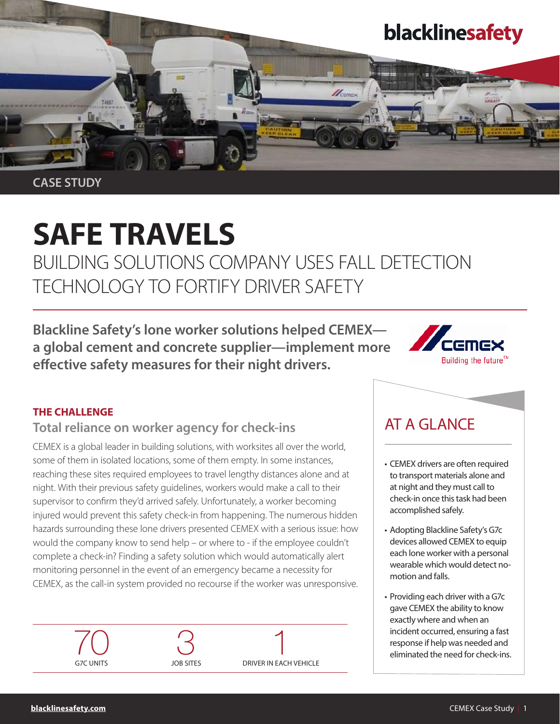

CASE STUDY

# SAFE TRAVELS

BUILDING SOLUTIONS COMPANY USES FALL DETECTION TECHNOLOGY TO FORTIFY DRIVER SAFETY

Blackline Safety's lone worker solutions helped CEMEX a global cement and concrete supplier—implement more effective safety measures for their night drivers.



#### THE CHALLENGE

# Total reliance on worker agency for check-ins

CEMEX is a global leader in building solutions, with worksites all over the world, some of them in isolated locations, some of them empty. In some instances, reaching these sites required employees to travel lengthy distances alone and at night. With their previous safety guidelines, workers would make a call to their supervisor to confirm they'd arrived safely. Unfortunately, a worker becoming injured would prevent this safety check-in from happening. The numerous hidden hazards surrounding these lone drivers presented CEMEX with a serious issue: how would the company know to send help – or where to - if the employee couldn't complete a check-in? Finding a safety solution which would automatically alert monitoring personnel in the event of an emergency became a necessity for CEMEX, as the call-in system provided no recourse if the worker was unresponsive.



# AT A GLANCE

- CEMEX drivers are often required to transport materials alone and at night and they must call to check-in once this task had been accomplished safely.
- Adopting Blackline Safety's G7c devices allowed CEMEX to equip each lone worker with a personal wearable which would detect nomotion and falls.
- Providing each driver with a G7c gave CEMEX the ability to know exactly where and when an incident occurred, ensuring a fast response if help was needed and eliminated the need for check-ins.